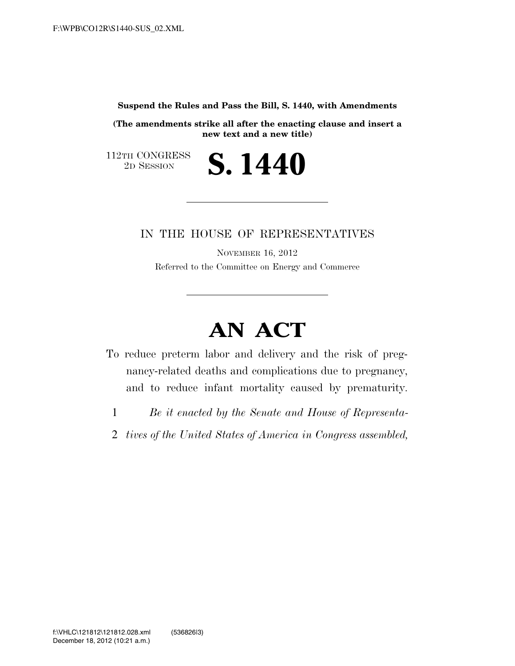**Suspend the Rules and Pass the Bill, S. 1440, with Amendments** 

**(The amendments strike all after the enacting clause and insert a new text and a new title)** 

2D SESSION **S. 1440**

 $\begin{array}{c} \textbf{112TH CONGRESS} \\ \textbf{2D SESSION} \end{array}$ 

# IN THE HOUSE OF REPRESENTATIVES

NOVEMBER 16, 2012 Referred to the Committee on Energy and Commerce

# **AN ACT**

- To reduce preterm labor and delivery and the risk of pregnancy-related deaths and complications due to pregnancy, and to reduce infant mortality caused by prematurity.
	- 1 *Be it enacted by the Senate and House of Representa-*
	- 2 *tives of the United States of America in Congress assembled,*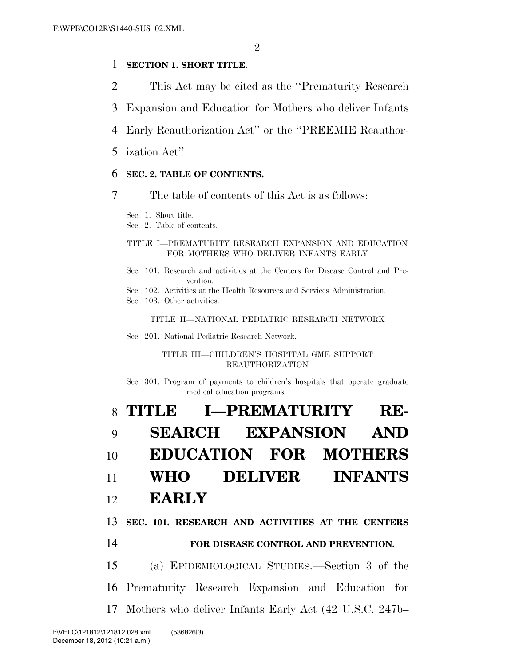# 1 **SECTION 1. SHORT TITLE.**

- 2 This Act may be cited as the ''Prematurity Research
- 3 Expansion and Education for Mothers who deliver Infants
- 4 Early Reauthorization Act'' or the ''PREEMIE Reauthor-
- 5 ization Act''.

### 6 **SEC. 2. TABLE OF CONTENTS.**

7 The table of contents of this Act is as follows:

Sec. 1. Short title.

Sec. 2. Table of contents.

#### TITLE I—PREMATURITY RESEARCH EXPANSION AND EDUCATION FOR MOTHERS WHO DELIVER INFANTS EARLY

Sec. 101. Research and activities at the Centers for Disease Control and Prevention.

Sec. 102. Activities at the Health Resources and Services Administration.

Sec. 103. Other activities.

#### TITLE II—NATIONAL PEDIATRIC RESEARCH NETWORK

Sec. 201. National Pediatric Research Network.

TITLE III—CHILDREN'S HOSPITAL GME SUPPORT REAUTHORIZATION

Sec. 301. Program of payments to children's hospitals that operate graduate medical education programs.

|    | 8 TITLE I-PREMATURITY RE-                           |
|----|-----------------------------------------------------|
| 9  | <b>SEARCH EXPANSION AND</b>                         |
| 10 | <b>EDUCATION FOR MOTHERS</b>                        |
|    | 11 WHO DELIVER INFANTS                              |
|    | 12 <b>EARLY</b>                                     |
|    | 13 SEC. 101. RESEARCH AND ACTIVITIES AT THE CENTERS |
| 14 | FOR DISEASE CONTROL AND PREVENTION.                 |
|    | 15<br>(a) EPIDEMIOLOGICAL STUDIES.—Section 3 of the |
|    | 16 Prematurity Research Expansion and Education for |

17 Mothers who deliver Infants Early Act (42 U.S.C. 247b–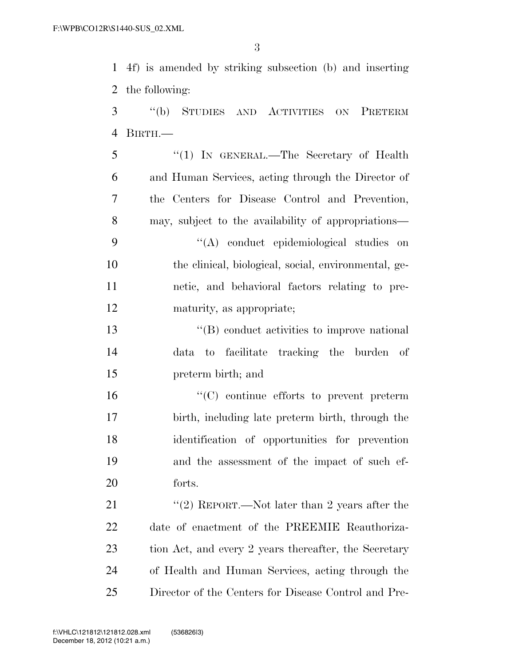4f) is amended by striking subsection (b) and inserting the following:

 ''(b) STUDIES AND ACTIVITIES ON PRETERM BIRTH.—

 ''(1) IN GENERAL.—The Secretary of Health and Human Services, acting through the Director of the Centers for Disease Control and Prevention, may, subject to the availability of appropriations— ''(A) conduct epidemiological studies on the clinical, biological, social, environmental, ge- netic, and behavioral factors relating to pre-maturity, as appropriate;

 ''(B) conduct activities to improve national data to facilitate tracking the burden of preterm birth; and

 ''(C) continue efforts to prevent preterm birth, including late preterm birth, through the identification of opportunities for prevention and the assessment of the impact of such ef-forts.

21 ''(2) REPORT.—Not later than 2 years after the date of enactment of the PREEMIE Reauthoriza-23 tion Act, and every 2 years thereafter, the Secretary of Health and Human Services, acting through the Director of the Centers for Disease Control and Pre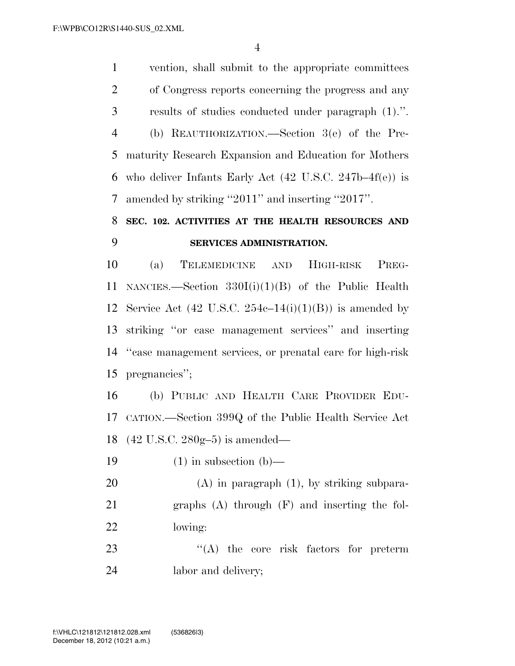vention, shall submit to the appropriate committees of Congress reports concerning the progress and any results of studies conducted under paragraph (1).''. (b) REAUTHORIZATION.—Section 3(e) of the Pre- maturity Research Expansion and Education for Mothers who deliver Infants Early Act (42 U.S.C. 247b–4f(e)) is amended by striking ''2011'' and inserting ''2017''.

# **SEC. 102. ACTIVITIES AT THE HEALTH RESOURCES AND SERVICES ADMINISTRATION.**

 (a) TELEMEDICINE AND HIGH-RISK PREG- NANCIES.—Section 330I(i)(1)(B) of the Public Health 12 Service Act  $(42 \text{ U.S.C. } 254c-14(i)(1)(B))$  is amended by striking ''or case management services'' and inserting ''case management services, or prenatal care for high-risk pregnancies'';

 (b) PUBLIC AND HEALTH CARE PROVIDER EDU- CATION.—Section 399Q of the Public Health Service Act (42 U.S.C. 280g–5) is amended—

19  $(1)$  in subsection  $(b)$ —

 (A) in paragraph (1), by striking subpara- graphs (A) through (F) and inserting the fol-lowing:

23  $\langle (A)$  the core risk factors for preterm labor and delivery;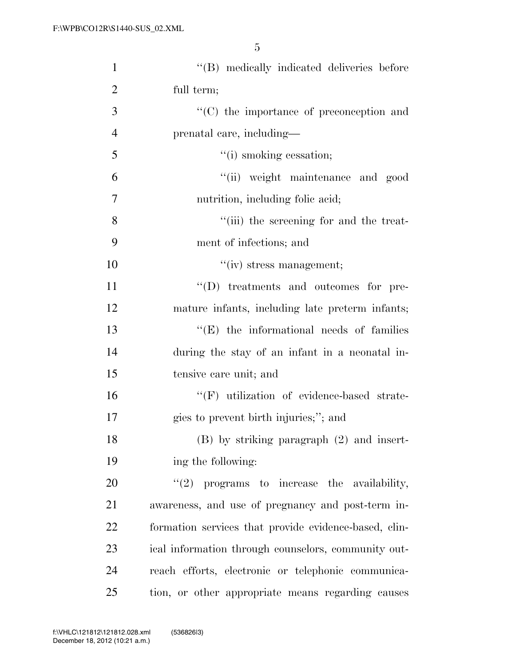| $\mathbf{1}$   | "(B) medically indicated deliveries before            |
|----------------|-------------------------------------------------------|
| $\overline{2}$ | full term;                                            |
| 3              | $\cdot$ (C) the importance of preconception and       |
| $\overline{4}$ | prenatal care, including—                             |
| 5              | "(i) smoking cessation;                               |
| 6              | "(ii) weight maintenance and good                     |
| $\overline{7}$ | nutrition, including folic acid;                      |
| 8              | "(iii) the screening for and the treat-               |
| 9              | ment of infections; and                               |
| 10             | $``(iv)$ stress management;                           |
| 11             | $\lq\lq$ treatments and outcomes for pre-             |
| 12             | mature infants, including late preterm infants;       |
| 13             | $\lq\lq(E)$ the informational needs of families       |
| 14             | during the stay of an infant in a neonatal in-        |
| 15             | tensive care unit; and                                |
| 16             | "(F) utilization of evidence-based strate-            |
| 17             | gies to prevent birth injuries;"; and                 |
| 18             | $(B)$ by striking paragraph $(2)$ and insert-         |
| 19             | ing the following:                                    |
| 20             | $"(2)$ programs to increase the availability,         |
| 21             | awareness, and use of pregnancy and post-term in-     |
| 22             | formation services that provide evidence-based, clin- |
| 23             | ical information through counselors, community out-   |
| 24             | reach efforts, electronic or telephonic communica-    |
| 25             | tion, or other appropriate means regarding causes     |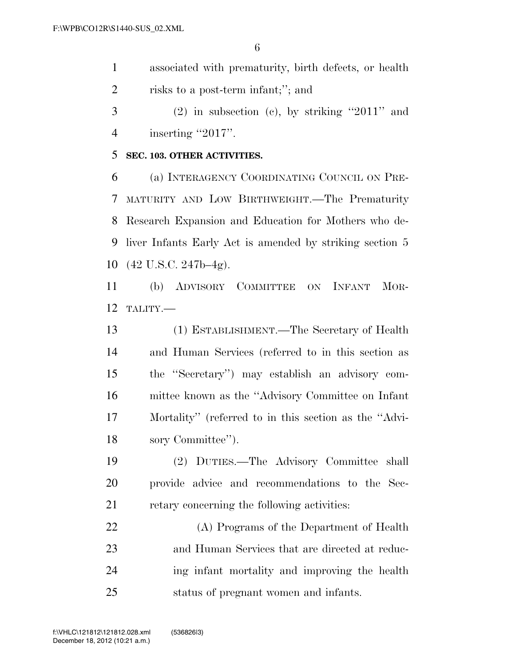- associated with prematurity, birth defects, or health risks to a post-term infant;''; and
- (2) in subsection (c), by striking "2011" and 4 inserting "2017".

## **SEC. 103. OTHER ACTIVITIES.**

 (a) INTERAGENCY COORDINATING COUNCIL ON PRE- MATURITY AND LOW BIRTHWEIGHT.—The Prematurity Research Expansion and Education for Mothers who de- liver Infants Early Act is amended by striking section 5 (42 U.S.C. 247b–4g).

 (b) ADVISORY COMMITTEE ON INFANT MOR-TALITY.—

 (1) ESTABLISHMENT.—The Secretary of Health and Human Services (referred to in this section as the ''Secretary'') may establish an advisory com- mittee known as the ''Advisory Committee on Infant Mortality'' (referred to in this section as the ''Advi-sory Committee'').

 (2) DUTIES.—The Advisory Committee shall provide advice and recommendations to the Sec-retary concerning the following activities:

 (A) Programs of the Department of Health and Human Services that are directed at reduc- ing infant mortality and improving the health status of pregnant women and infants.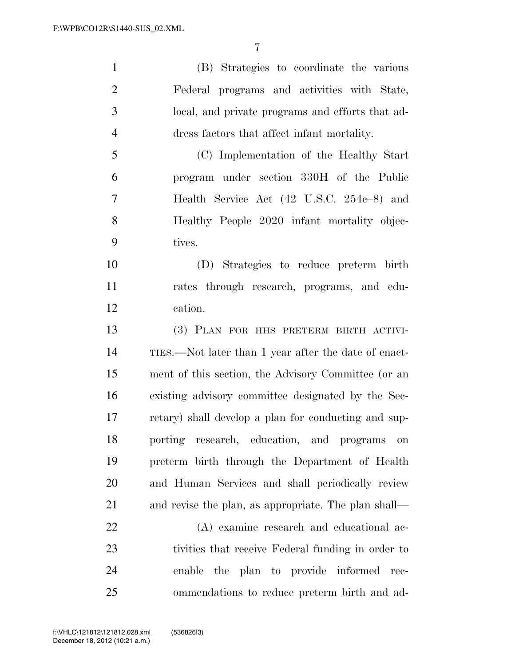(B) Strategies to coordinate the various Federal programs and activities with State, local, and private programs and efforts that ad-dress factors that affect infant mortality.

 (C) Implementation of the Healthy Start program under section 330H of the Public Health Service Act (42 U.S.C. 254c–8) and Healthy People 2020 infant mortality objec-tives.

 (D) Strategies to reduce preterm birth rates through research, programs, and edu-cation.

 (3) PLAN FOR HHS PRETERM BIRTH ACTIVI- TIES.—Not later than 1 year after the date of enact- ment of this section, the Advisory Committee (or an existing advisory committee designated by the Sec- retary) shall develop a plan for conducting and sup- porting research, education, and programs on preterm birth through the Department of Health and Human Services and shall periodically review and revise the plan, as appropriate. The plan shall—

 (A) examine research and educational ac- tivities that receive Federal funding in order to enable the plan to provide informed rec-ommendations to reduce preterm birth and ad-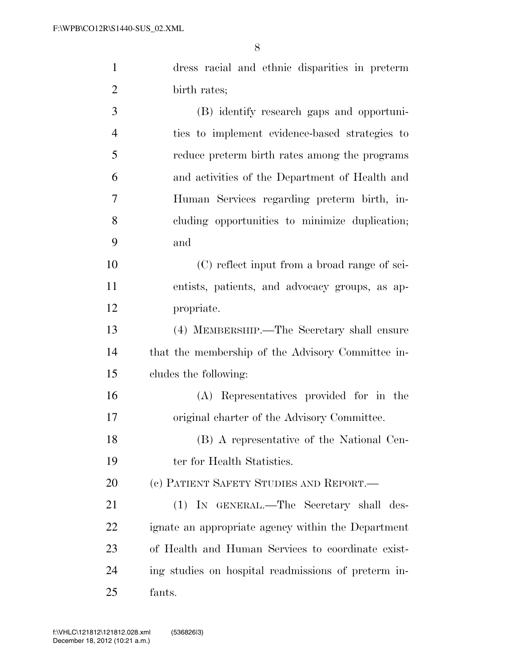| 1              | dress racial and ethnic disparities in preterm |
|----------------|------------------------------------------------|
| 2              | birth rates;                                   |
| 3              | (B) identify research gaps and opportuni-      |
| $\overline{4}$ | ties to implement evidence-based strategies to |
| 5              | reduce preterm birth rates among the programs  |
| 6              | and activities of the Department of Health and |
| 7              | Human Services regarding preterm birth, in-    |
| 8              | cluding opportunities to minimize duplication; |
| 9              | and                                            |
| 10             | (C) reflect input from a broad range of sci-   |
| 11             | entists, patients, and advocacy groups, as ap- |
|                |                                                |

propriate.

 (4) MEMBERSHIP.—The Secretary shall ensure that the membership of the Advisory Committee in-cludes the following:

 (A) Representatives provided for in the original charter of the Advisory Committee.

 (B) A representative of the National Cen-19 ter for Health Statistics.

20 (c) PATIENT SAFETY STUDIES AND REPORT.—

 (1) IN GENERAL.—The Secretary shall des- ignate an appropriate agency within the Department of Health and Human Services to coordinate exist- ing studies on hospital readmissions of preterm in-fants.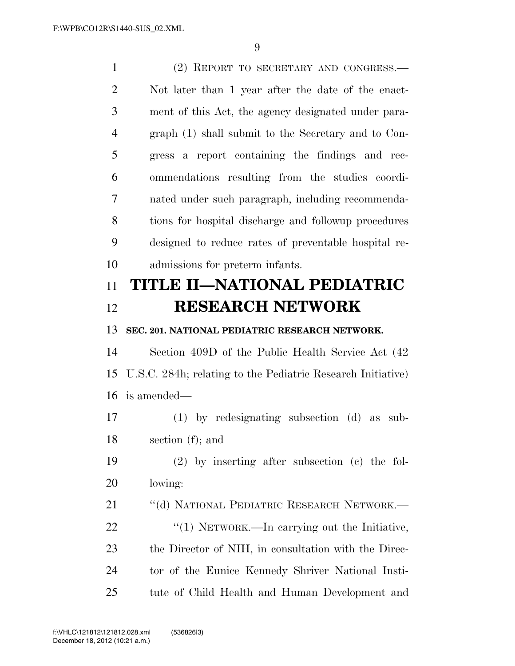(2) REPORT TO SECRETARY AND CONGRESS.— Not later than 1 year after the date of the enact- ment of this Act, the agency designated under para- graph (1) shall submit to the Secretary and to Con- gress a report containing the findings and rec- ommendations resulting from the studies coordi- nated under such paragraph, including recommenda- tions for hospital discharge and followup procedures designed to reduce rates of preventable hospital re- admissions for preterm infants. **TITLE II—NATIONAL PEDIATRIC RESEARCH NETWORK SEC. 201. NATIONAL PEDIATRIC RESEARCH NETWORK.**  Section 409D of the Public Health Service Act (42 U.S.C. 284h; relating to the Pediatric Research Initiative) is amended— (1) by redesignating subsection (d) as sub- section (f); and (2) by inserting after subsection (c) the fol- lowing: 21 "(d) NATIONAL PEDIATRIC RESEARCH NETWORK.—  $\frac{1}{2}$  (1) NETWORK.—In carrying out the Initiative, the Director of NIH, in consultation with the Direc- tor of the Eunice Kennedy Shriver National Insti-tute of Child Health and Human Development and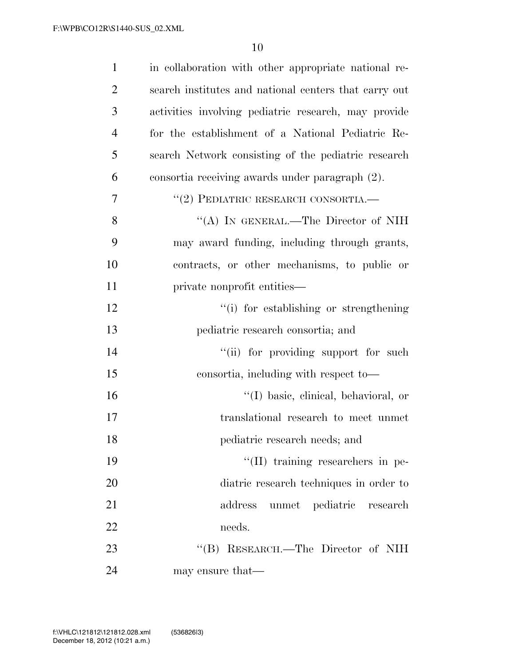| $\mathbf{1}$   | in collaboration with other appropriate national re-  |
|----------------|-------------------------------------------------------|
| $\overline{2}$ | search institutes and national centers that carry out |
| 3              | activities involving pediatric research, may provide  |
| $\overline{4}$ | for the establishment of a National Pediatric Re-     |
| 5              | search Network consisting of the pediatric research   |
| 6              | consortia receiving awards under paragraph (2).       |
| 7              | $``(2)$ PEDIATRIC RESEARCH CONSORTIA.                 |
| 8              | "(A) IN GENERAL.—The Director of NIH                  |
| 9              | may award funding, including through grants,          |
| 10             | contracts, or other mechanisms, to public or          |
| 11             | private nonprofit entities—                           |
| 12             | "(i) for establishing or strengthening                |
| 13             | pediatric research consortia; and                     |
| 14             | "(ii) for providing support for such                  |
| 15             | consortia, including with respect to-                 |
| 16             | "(I) basic, clinical, behavioral, or                  |
| 17             | translational research to meet unmet                  |
| 18             | pediatric research needs; and                         |
| 19             | "(II) training researchers in pe-                     |
| 20             | diatric research techniques in order to               |
| 21             | unmet pediatric research<br>address                   |
| 22             | needs.                                                |
| 23             | "(B) RESEARCH.—The Director of NIH                    |
| 24             | may ensure that—                                      |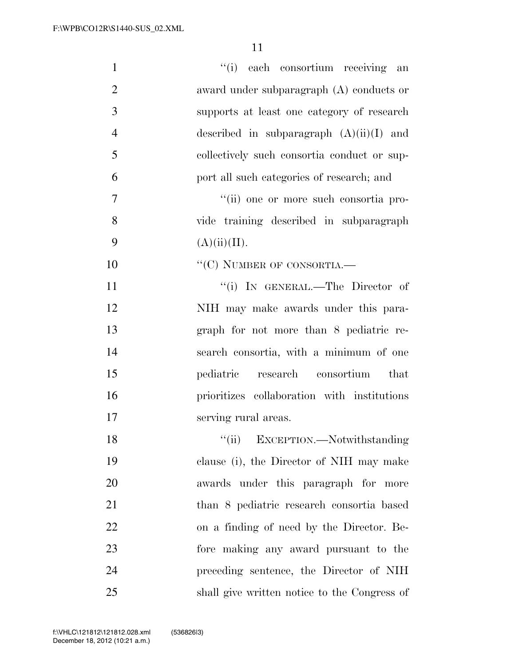| $\mathbf{1}$   | "(i) each consortium receiving an            |
|----------------|----------------------------------------------|
| $\overline{2}$ | award under subparagraph (A) conducts or     |
| 3              | supports at least one category of research   |
| $\overline{4}$ | described in subparagraph $(A)(ii)(I)$ and   |
| 5              | collectively such consortia conduct or sup-  |
| 6              | port all such categories of research; and    |
| 7              | "(ii) one or more such consortia pro-        |
| 8              | vide training described in subparagraph      |
| 9              | (A)(ii)(II).                                 |
| 10             | $``(C)$ NUMBER OF CONSORTIA.—                |
| 11             | "(i) IN GENERAL.—The Director of             |
| 12             | NIH may make awards under this para-         |
| 13             | graph for not more than 8 pediatric re-      |
| 14             | search consortia, with a minimum of one      |
| 15             | research consortium<br>pediatric<br>that     |
| 16             | prioritizes collaboration with institutions  |
| 17             | serving rural areas.                         |
| 18             | EXCEPTION.-Notwithstanding<br>``(ii)         |
| 19             | clause (i), the Director of NIH may make     |
| 20             | awards under this paragraph for more         |
| 21             | than 8 pediatric research consortia based    |
| 22             | on a finding of need by the Director. Be-    |
| 23             | fore making any award pursuant to the        |
| 24             | preceding sentence, the Director of NIH      |
| 25             | shall give written notice to the Congress of |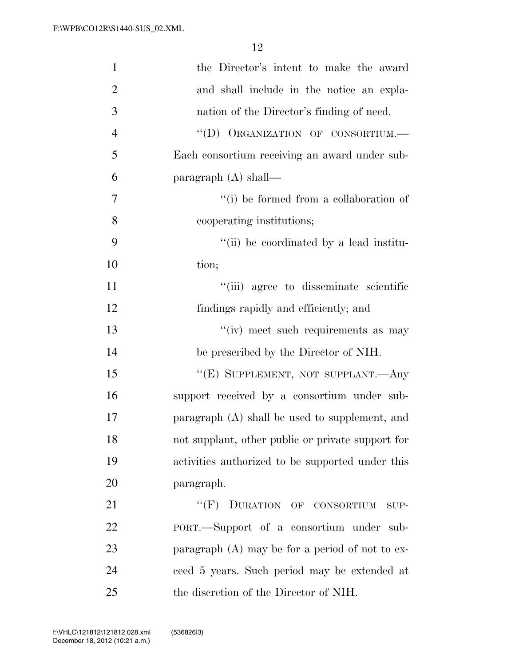| $\mathbf{1}$   | the Director's intent to make the award           |
|----------------|---------------------------------------------------|
| $\overline{2}$ | and shall include in the notice an expla-         |
| 3              | nation of the Director's finding of need.         |
| $\overline{4}$ | "(D) ORGANIZATION OF CONSORTIUM.-                 |
| 5              | Each consortium receiving an award under sub-     |
| 6              | paragraph $(A)$ shall—                            |
| 7              | "(i) be formed from a collaboration of            |
| 8              | cooperating institutions;                         |
| 9              | "(ii) be coordinated by a lead institu-           |
| 10             | tion;                                             |
| 11             | "(iii) agree to disseminate scientific            |
| 12             | findings rapidly and efficiently; and             |
| 13             | "(iv) meet such requirements as may               |
| 14             | be prescribed by the Director of NIH.             |
| 15             | "(E) SUPPLEMENT, NOT SUPPLANT.- Any               |
| 16             | support received by a consortium under sub-       |
| 17             | paragraph (A) shall be used to supplement, and    |
| 18             | not supplant, other public or private support for |
| 19             | activities authorized to be supported under this  |
| 20             | paragraph.                                        |
| 21             | "(F) DURATION OF CONSORTIUM<br>SUP-               |
| 22             | PORT.—Support of a consortium under sub-          |
| 23             | paragraph $(A)$ may be for a period of not to ex- |
| 24             | ceed 5 years. Such period may be extended at      |
| 25             | the discretion of the Director of NIH.            |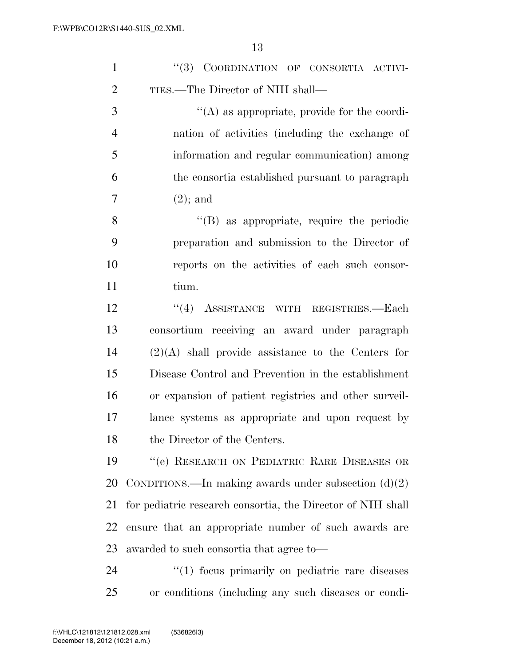| $\mathbf{1}$   | "(3) COORDINATION OF CONSORTIA ACTIVI-                      |
|----------------|-------------------------------------------------------------|
| $\overline{2}$ | TIES.—The Director of NIH shall—                            |
| 3              | $\lq\lq$ as appropriate, provide for the coordi-            |
| $\overline{4}$ | nation of activities (including the exchange of             |
| 5              | information and regular communication) among                |
| 6              | the consortia established pursuant to paragraph             |
| 7              | $(2)$ ; and                                                 |
| 8              | "(B) as appropriate, require the periodic                   |
| 9              | preparation and submission to the Director of               |
| 10             | reports on the activities of each such consor-              |
| 11             | tium.                                                       |
| 12             | "(4) ASSISTANCE WITH REGISTRIES.-Each                       |
| 13             | consortium receiving an award under paragraph               |
| 14             | $(2)(A)$ shall provide assistance to the Centers for        |
| 15             | Disease Control and Prevention in the establishment         |
| 16             | or expansion of patient registries and other surveil-       |
| 17             | lance systems as appropriate and upon request by            |
| 18             | the Director of the Centers.                                |
| 19             | "(e) RESEARCH ON PEDIATRIC RARE DISEASES OR                 |
| 20             | CONDITIONS.—In making awards under subsection $(d)(2)$      |
| 21             | for pediatric research consortia, the Director of NIH shall |
| 22             | ensure that an appropriate number of such awards are        |
| 23             | awarded to such consortia that agree to—                    |
| 24             | "(1) focus primarily on pediatric rare diseases             |
| 25             | or conditions (including any such diseases or condi-        |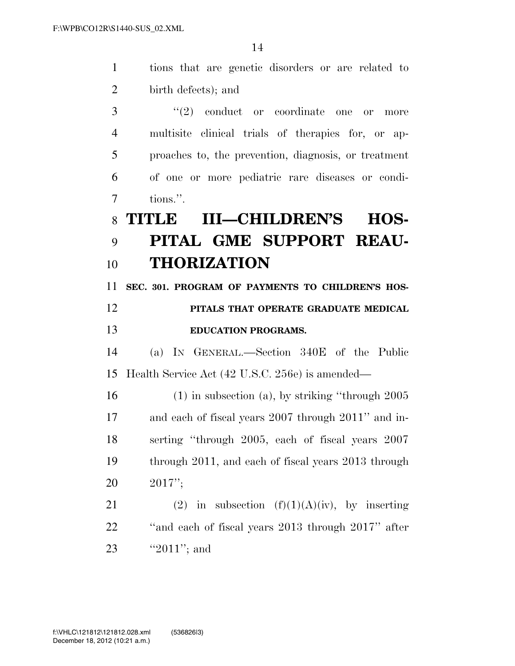tions that are genetic disorders or are related to birth defects); and 3 ''(2) conduct or coordinate one or more multisite clinical trials of therapies for, or ap- proaches to, the prevention, diagnosis, or treatment of one or more pediatric rare diseases or condi- tions.''. **TITLE III—CHILDREN'S HOS- PITAL GME SUPPORT REAU- THORIZATION SEC. 301. PROGRAM OF PAYMENTS TO CHILDREN'S HOS- PITALS THAT OPERATE GRADUATE MEDICAL EDUCATION PROGRAMS.**  (a) IN GENERAL.—Section 340E of the Public Health Service Act (42 U.S.C. 256e) is amended— (1) in subsection (a), by striking ''through 2005 and each of fiscal years 2007 through 2011'' and in- serting ''through 2005, each of fiscal years 2007 through 2011, and each of fiscal years 2013 through 2017''; 21 (2) in subsection  $(f)(1)(A)(iv)$ , by inserting ''and each of fiscal years 2013 through 2017'' after

23 "2011"; and